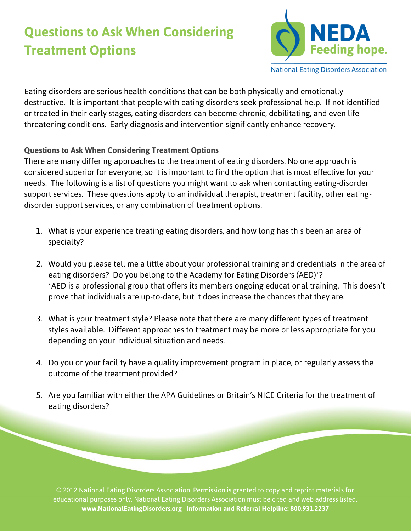## **Questions to Ask When Considering Treatment Options**



**National Eating Disorders Association** 

Eating disorders are serious health conditions that can be both physically and emotionally destructive. It is important that people with eating disorders seek professional help. If not identified or treated in their early stages, eating disorders can become chronic, debilitating, and even lifethreatening conditions. Early diagnosis and intervention significantly enhance recovery.

## **Questions to Ask When Considering Treatment Options**

There are many differing approaches to the treatment of eating disorders. No one approach is considered superior for everyone, so it is important to find the option that is most effective for your needs. The following is a list of questions you might want to ask when contacting eating-disorder support services. These questions apply to an individual therapist, treatment facility, other eatingdisorder support services, or any combination of treatment options.

- 1. What is your experience treating eating disorders, and how long has this been an area of specialty?
- 2. Would you please tell me a little about your professional training and credentials in the area of eating disorders? Do you belong to the Academy for Eating Disorders (AED)\*? \*AED is a professional group that offers its members ongoing educational training. This doesn't prove that individuals are up-to-date, but it does increase the chances that they are.
- 3. What is your treatment style? Please note that there are many different types of treatment styles available. Different approaches to treatment may be more or less appropriate for you depending on your individual situation and needs.
- 4. Do you or your facility have a quality improvement program in place, or regularly assess the outcome of the treatment provided?
- 5. Are you familiar with either the APA Guidelines or Britain's NICE Criteria for the treatment of eating disorders?

© 2012 National Eating Disorders Association. Permission is granted to copy and reprint materials for educational purposes only. National Eating Disorders Association must be cited and web address listed. **www.NationalEatingDisorders.org Information and Referral Helpline: 800.931.2237**